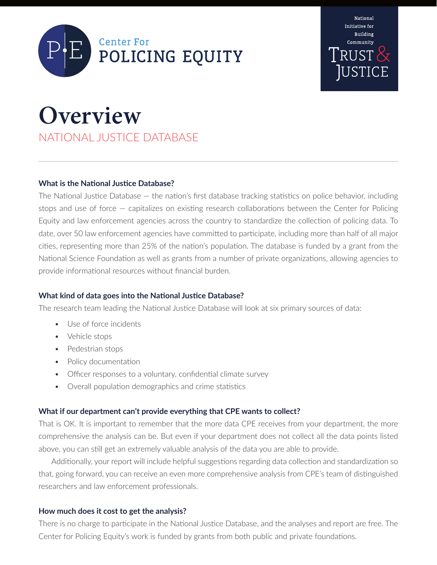



# **Overview**

NATIONAL JUSTICE DATABASE

## **What is the National Justice Database?**

The National Justice Database — the nation's first database tracking statistics on police behavior, including stops and use of force — capitalizes on existing research collaborations between the Center for Policing Equity and law enforcement agencies across the country to standardize the collection of policing data. To date, over 50 law enforcement agencies have committed to participate, including more than half of all major cities, representing more than 25% of the nation's population. The database is funded by a grant from the National Science Foundation as well as grants from a number of private organizations, allowing agencies to provide informational resources without financial burden.

## **What kind of data goes into the National Justice Database?**

The research team leading the National Justice Database will look at six primary sources of data:

- Use of force incidents
- Vehicle stops
- Pedestrian stops
- Policy documentation
- Officer responses to a voluntary, confidential climate survey
- Overall population demographics and crime statistics

## **What if our department can't provide everything that CPE wants to collect?**

That is OK. It is important to remember that the more data CPE receives from your department, the more comprehensive the analysis can be. But even if your department does not collect all the data points listed above, you can still get an extremely valuable analysis of the data you are able to provide.

Additionally, your report will include helpful suggestions regarding data collection and standardization so that, going forward, you can receive an even more comprehensive analysis from CPE's team of distinguished researchers and law enforcement professionals.

## **How much does it cost to get the analysis?**

There is no charge to participate in the National Justice Database, and the analyses and report are free. The Center for Policing Equity's work is funded by grants from both public and private foundations.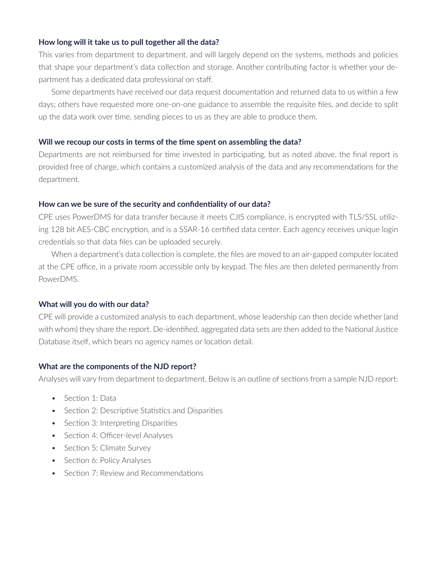#### **How long will it take us to pull together all the data?**

This varies from department to department, and will largely depend on the systems, methods and policies that shape your department's data collection and storage. Another contributing factor is whether your department has a dedicated data professional on staff.

Some departments have received our data request documentation and returned data to us within a few days; others have requested more one-on-one guidance to assemble the requisite files, and decide to split up the data work over time, sending pieces to us as they are able to produce them.

#### **Will we recoup our costs in terms of the time spent on assembling the data?**

Departments are not reimbursed for time invested in participating, but as noted above, the final report is provided free of charge, which contains a customized analysis of the data and any recommendations for the department.

#### **How can we be sure of the security and confidentiality of our data?**

CPE uses PowerDMS for data transfer because it meets CJIS compliance, is encrypted with TLS/SSL utilizing 128 bit AES-CBC encryption, and is a SSAR-16 certified data center. Each agency receives unique login credentials so that data files can be uploaded securely.

When a department's data collection is complete, the files are moved to an air-gapped computer located at the CPE office, in a private room accessible only by keypad. The files are then deleted permanently from PowerDMS.

## **What will you do with our data?**

CPE will provide a customized analysis to each department, whose leadership can then decide whether (and with whom) they share the report. De-identified, aggregated data sets are then added to the National Justice Database itself, which bears no agency names or location detail.

## **What are the components of the NJD report?**

Analyses will vary from department to department. Below is an outline of sections from a sample NJD report:

- Section 1: Data
- Section 2: Descriptive Statistics and Disparities
- Section 3: Interpreting Disparities
- Section 4: Officer-level Analyses
- Section 5: Climate Survey
- Section 6: Policy Analyses
- Section 7: Review and Recommendations